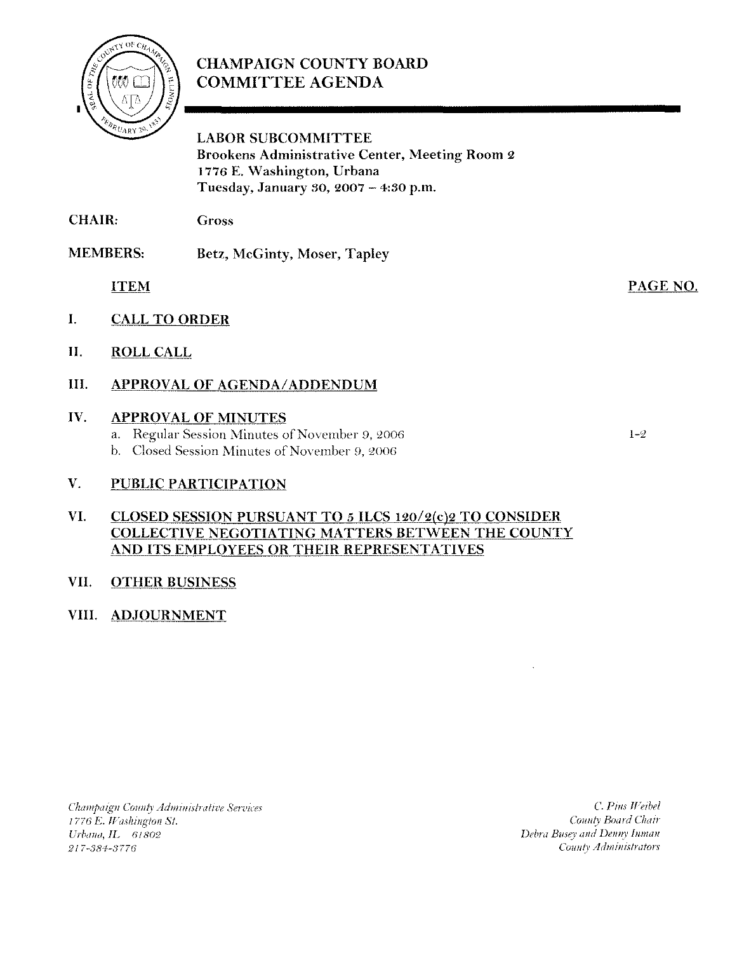

## **CHAMPAIGN COUNTY BOARD COMMITTEE AGENDA**

**LABOR SUBCOMMITTEE Brookens Administrative Center, Meeting Room 2** 1776 E. Washington, Urbana Tuesday, January 30, 2007 - 4:30 p.m.

CHAIR: Gross

**MEMBERS:** Betz, McGinty, Moser, Tapley

**ITEM** 

- $\mathbf{I}$ . **CALL TO ORDER**
- II. **ROLL CALL**

#### Ш. **APPROVAL OF AGENDA/ADDENDUM**

#### IV. **APPROVAL OF MINUTES**

- a. Regular Session Minutes of November 9, 2006
- b. Closed Session Minutes of November 9, 2006

#### $V_{\star}$ **PUBLIC PARTICIPATION**

#### VI. CLOSED SESSION PURSUANT TO 5 ILCS 120/2(c)2 TO CONSIDER **COLLECTIVE NEGOTIATING MATTERS BETWEEN THE COUNTY** AND ITS EMPLOYEES OR THEIR REPRESENTATIVES

#### VII. **OTHER BUSINESS**

## VIII. ADJOURNMENT

Champaign County Administrative Services 1776 E. Washington St. Urbana, IL 61802 217-384-3776

C. Pius Weibel County Board Chair Debra Busey and Denny Inman County Administrators

 $1 - 2$ 

PAGE NO.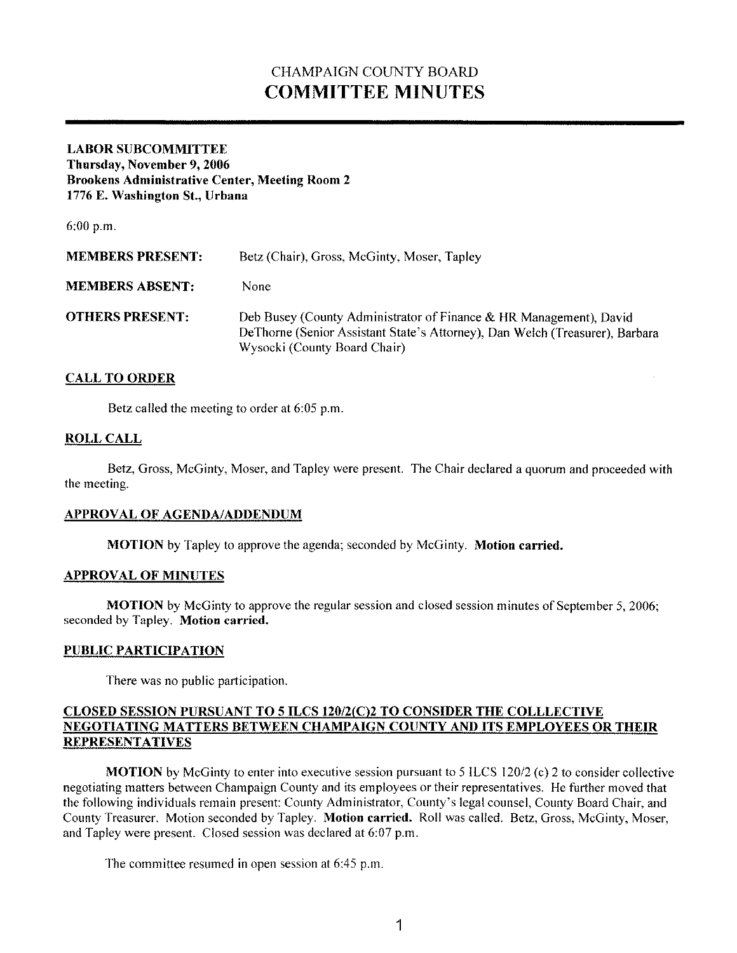# CHAMPAIGN COUNTY BOARD **COMMITTEE MINUTES**

### **LABOR SUBCOMMITTEE**

**Thursday, November 9, 2006 Brookeus Administrative Center, Meeting Room 2 1776 E. Washington St., Urbana**

6:00 p.m.

| <b>MEMBERS PRESENT:</b> | Betz (Chair), Gross, McGinty, Moser, Tapley                                                                                                                                        |
|-------------------------|------------------------------------------------------------------------------------------------------------------------------------------------------------------------------------|
| <b>MEMBERS ABSENT:</b>  | None                                                                                                                                                                               |
| <b>OTHERS PRESENT:</b>  | Deb Busey (County Administrator of Finance & HR Management), David<br>DeThorne (Senior Assistant State's Attorney), Dan Welch (Treasurer), Barbara<br>Wysocki (County Board Chair) |

### **CALL TO ORDER**

Betz called the meeting to order at 6:05 p.m.

#### **ROLLCALL**

Betz, Gross, McGinty, Moser, and Tapley were present. The Chair declared a quorum and proceeded with the meeting.

#### **APPROVAL OF AGENDA/ADDENDUM**

**MOTION** by Tapley to approve the agenda; seconded by McGinty. **Motion carried.**

#### **APPROVAL OF MINUTES**

**MOTION** by McGinty to approve the regular session and closed session minutes of September 5, 2006; seconded by Tapley. **Motion carried.**

#### **PUBLIC PARTICIPATION**

There was no public participation.

#### **CLOSED SESSION PURSUANT TO 5 ILCS 120/2(C)2 TO CONSIDER THE COLLLECTIVE NEGOTIATING MATTERS BETWEEN CHAMPAIGN COUNTY AND ITS EMPLOYEES OR THEIR REPRESENTATIVES**

**MOTION** by McGinty to enter into executive session pursuant to 5 ILCS 120/2 (c) 2 to consider collective negotiating matters between Champaign County and its employees or their representatives. He further moved that the following individuals remain present: County Administrator, County's legal counsel, County Board Chair, and County Treasurer. Motion seconded by Tapley. **Motion carried.** Roll was called. Betz, Gross, McGinty, Moser, and Tapley were present. Closed session was declared at 6:07 p.m.

The committee resumed in open session at 6:45 p.m.